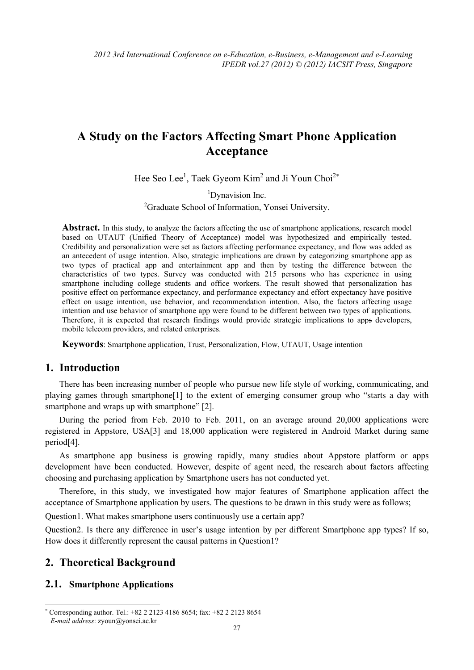# **A Study on the Factors Affecting Smart Phone Application Acceptance**

Hee Seo Lee<sup>1</sup>, Taek Gyeom Kim<sup>2</sup> and Ji Youn Choi<sup>2∗</sup>

<sup>1</sup>Dynavision Inc.

<sup>2</sup>Graduate School of Information, Yonsei University.

Abstract. In this study, to analyze the factors affecting the use of smartphone applications, research model based on UTAUT (Unified Theory of Acceptance) model was hypothesized and empirically tested. Credibility and personalization were set as factors affecting performance expectancy, and flow was added as an antecedent of usage intention. Also, strategic implications are drawn by categorizing smartphone app as two types of practical app and entertainment app and then by testing the difference between the characteristics of two types. Survey was conducted with 215 persons who has experience in using smartphone including college students and office workers. The result showed that personalization has positive effect on performance expectancy, and performance expectancy and effort expectancy have positive effect on usage intention, use behavior, and recommendation intention. Also, the factors affecting usage intention and use behavior of smartphone app were found to be different between two types of applications. Therefore, it is expected that research findings would provide strategic implications to apps developers, mobile telecom providers, and related enterprises.

**Keywords**: Smartphone application, Trust, Personalization, Flow, UTAUT, Usage intention

# **1. Introduction**

There has been increasing number of people who pursue new life style of working, communicating, and playing games through smartphone[1] to the extent of emerging consumer group who "starts a day with smartphone and wraps up with smartphone" [2].

During the period from Feb. 2010 to Feb. 2011, on an average around 20,000 applications were registered in Appstore, USA[3] and 18,000 application were registered in Android Market during same period[4].

As smartphone app business is growing rapidly, many studies about Appstore platform or apps development have been conducted. However, despite of agent need, the research about factors affecting choosing and purchasing application by Smartphone users has not conducted yet.

Therefore, in this study, we investigated how major features of Smartphone application affect the acceptance of Smartphone application by users. The questions to be drawn in this study were as follows:

Question1. What makes smartphone users continuously use a certain app?

Question2. Is there any difference in user's usage intention by per different Smartphone app types? If so, How does it differently represent the causal patterns in Question1?

# **2. Theoretical Background**

### **2.1. Smartphone Applications**

 $\overline{a}$ 

<sup>∗</sup> Corresponding author. Tel.: +82 2 2123 4186 8654; fax: +82 2 2123 8654 *E-mail address*: zyoun@yonsei.ac.kr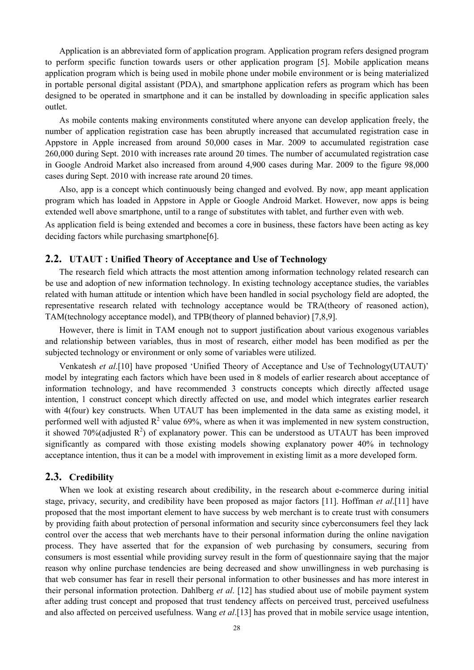Application is an abbreviated form of application program. Application program refers designed program to perform specific function towards users or other application program [5]. Mobile application means application program which is being used in mobile phone under mobile environment or is being materialized in portable personal digital assistant (PDA), and smartphone application refers as program which has been designed to be operated in smartphone and it can be installed by downloading in specific application sales outlet.

As mobile contents making environments constituted where anyone can develop application freely, the number of application registration case has been abruptly increased that accumulated registration case in Appstore in Apple increased from around 50,000 cases in Mar. 2009 to accumulated registration case 260,000 during Sept. 2010 with increases rate around 20 times. The number of accumulated registration case in Google Android Market also increased from around 4,900 cases during Mar. 2009 to the figure 98,000 cases during Sept. 2010 with increase rate around 20 times.

Also, app is a concept which continuously being changed and evolved. By now, app meant application program which has loaded in Appstore in Apple or Google Android Market. However, now apps is being extended well above smartphone, until to a range of substitutes with tablet, and further even with web.

As application field is being extended and becomes a core in business, these factors have been acting as key deciding factors while purchasing smartphone[6].

#### **2.2. UTAUT : Unified Theory of Acceptance and Use of Technology**

The research field which attracts the most attention among information technology related research can be use and adoption of new information technology. In existing technology acceptance studies, the variables related with human attitude or intention which have been handled in social psychology field are adopted, the representative research related with technology acceptance would be TRA(theory of reasoned action), TAM(technology acceptance model), and TPB(theory of planned behavior) [7,8,9].

However, there is limit in TAM enough not to support justification about various exogenous variables and relationship between variables, thus in most of research, either model has been modified as per the subjected technology or environment or only some of variables were utilized.

Venkatesh *et al*.[10] have proposed 'Unified Theory of Acceptance and Use of Technology(UTAUT)' model by integrating each factors which have been used in 8 models of earlier research about acceptance of information technology, and have recommended 3 constructs concepts which directly affected usage intention, 1 construct concept which directly affected on use, and model which integrates earlier research with 4(four) key constructs. When UTAUT has been implemented in the data same as existing model, it performed well with adjusted  $R^2$  value 69%, where as when it was implemented in new system construction, it showed 70% (adjusted  $R^2$ ) of explanatory power. This can be understood as UTAUT has been improved significantly as compared with those existing models showing explanatory power 40% in technology acceptance intention, thus it can be a model with improvement in existing limit as a more developed form.

#### **2.3. Credibility**

When we look at existing research about credibility, in the research about e-commerce during initial stage, privacy, security, and credibility have been proposed as major factors [11]. Hoffman *et al*.[11] have proposed that the most important element to have success by web merchant is to create trust with consumers by providing faith about protection of personal information and security since cyberconsumers feel they lack control over the access that web merchants have to their personal information during the online navigation process. They have asserted that for the expansion of web purchasing by consumers, securing from consumers is most essential while providing survey result in the form of questionnaire saying that the major reason why online purchase tendencies are being decreased and show unwillingness in web purchasing is that web consumer has fear in resell their personal information to other businesses and has more interest in their personal information protection. Dahlberg *et al*. [12] has studied about use of mobile payment system after adding trust concept and proposed that trust tendency affects on perceived trust, perceived usefulness and also affected on perceived usefulness. Wang *et al*.[13] has proved that in mobile service usage intention,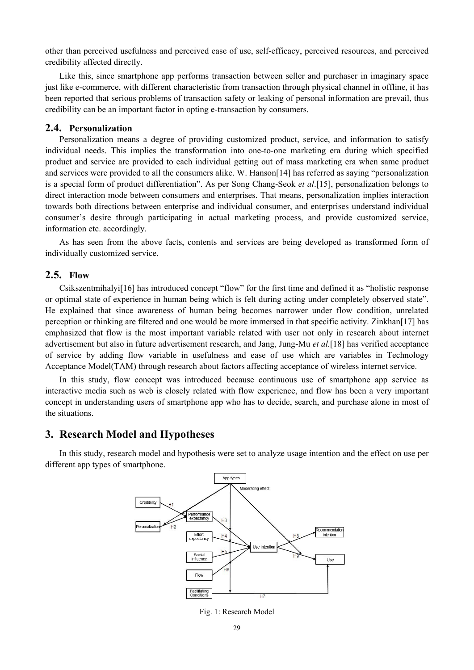other than perceived usefulness and perceived ease of use, self-efficacy, perceived resources, and perceived credibility affected directly.

Like this, since smartphone app performs transaction between seller and purchaser in imaginary space just like e-commerce, with different characteristic from transaction through physical channel in offline, it has been reported that serious problems of transaction safety or leaking of personal information are prevail, thus credibility can be an important factor in opting e-transaction by consumers.

### **2.4. Personalization**

Personalization means a degree of providing customized product, service, and information to satisfy individual needs. This implies the transformation into one-to-one marketing era during which specified product and service are provided to each individual getting out of mass marketing era when same product and services were provided to all the consumers alike. W. Hanson[14] has referred as saying "personalization is a special form of product differentiation". As per Song Chang-Seok *et al*.[15], personalization belongs to direct interaction mode between consumers and enterprises. That means, personalization implies interaction towards both directions between enterprise and individual consumer, and enterprises understand individual consumer's desire through participating in actual marketing process, and provide customized service, information etc. accordingly.

As has seen from the above facts, contents and services are being developed as transformed form of individually customized service.

### **2.5. Flow**

Csikszentmihalyi[16] has introduced concept "flow" for the first time and defined it as "holistic response or optimal state of experience in human being which is felt during acting under completely observed state". He explained that since awareness of human being becomes narrower under flow condition, unrelated perception or thinking are filtered and one would be more immersed in that specific activity. Zinkhan[17] has emphasized that flow is the most important variable related with user not only in research about internet advertisement but also in future advertisement research, and Jang, Jung-Mu *et al.*[18] has verified acceptance of service by adding flow variable in usefulness and ease of use which are variables in Technology Acceptance Model(TAM) through research about factors affecting acceptance of wireless internet service.

In this study, flow concept was introduced because continuous use of smartphone app service as interactive media such as web is closely related with flow experience, and flow has been a very important concept in understanding users of smartphone app who has to decide, search, and purchase alone in most of the situations.

### **3. Research Model and Hypotheses**

In this study, research model and hypothesis were set to analyze usage intention and the effect on use per different app types of smartphone.



Fig. 1: Research Model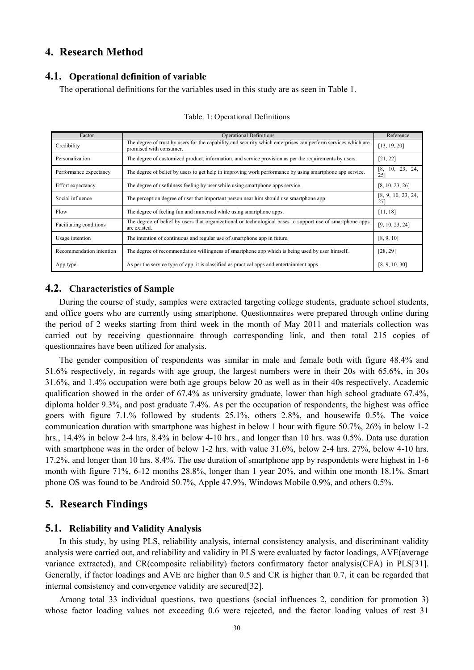### **4. Research Method**

### **4.1. Operational definition of variable**

The operational definitions for the variables used in this study are as seen in Table 1.

| Factor                   | <b>Operational Definitions</b>                                                                                                           | Reference                 |  |  |
|--------------------------|------------------------------------------------------------------------------------------------------------------------------------------|---------------------------|--|--|
| Credibility              | The degree of trust by users for the capability and security which enterprises can perform services which are<br>promised with consumer. |                           |  |  |
| Personalization          | The degree of customized product, information, and service provision as per the requirements by users.<br>[21, 22]                       |                           |  |  |
| Performance expectancy   | The degree of belief by users to get help in improving work performance by using smartphone app service.                                 | 10, 23, 24,<br>[8,<br>25  |  |  |
| Effort expectancy        | The degree of usefulness feeling by user while using smartphone apps service.                                                            | [8, 10, 23, 26]           |  |  |
| Social influence         | The perception degree of user that important person near him should use smartphone app.                                                  | [8, 9, 10, 23, 24,<br>271 |  |  |
| Flow                     | The degree of feeling fun and immersed while using smartphone apps.                                                                      | [11, 18]                  |  |  |
| Facilitating conditions  | The degree of belief by users that organizational or technological bases to support use of smartphone apps<br>are existed.               | [9, 10, 23, 24]           |  |  |
| Usage intention          | The intention of continuous and regular use of smartphone app in future.                                                                 | [8, 9, 10]                |  |  |
| Recommendation intention | The degree of recommendation willingness of smartphone app which is being used by user himself.                                          | [28, 29]                  |  |  |
| App type                 | As per the service type of app, it is classified as practical apps and entertainment apps.                                               | [8, 9, 10, 30]            |  |  |

Table. 1: Operational Definitions

#### **4.2. Characteristics of Sample**

During the course of study, samples were extracted targeting college students, graduate school students, and office goers who are currently using smartphone. Questionnaires were prepared through online during the period of 2 weeks starting from third week in the month of May 2011 and materials collection was carried out by receiving questionnaire through corresponding link, and then total 215 copies of questionnaires have been utilized for analysis.

The gender composition of respondents was similar in male and female both with figure 48.4% and 51.6% respectively, in regards with age group, the largest numbers were in their 20s with 65.6%, in 30s 31.6%, and 1.4% occupation were both age groups below 20 as well as in their 40s respectively. Academic qualification showed in the order of 67.4% as university graduate, lower than high school graduate 67.4%, diploma holder 9.3%, and post graduate 7.4%. As per the occupation of respondents, the highest was office goers with figure 7.1.% followed by students 25.1%, others 2.8%, and housewife 0.5%. The voice communication duration with smartphone was highest in below 1 hour with figure 50.7%, 26% in below 1-2 hrs., 14.4% in below 2-4 hrs, 8.4% in below 4-10 hrs., and longer than 10 hrs. was 0.5%. Data use duration with smartphone was in the order of below 1-2 hrs. with value 31.6%, below 2-4 hrs. 27%, below 4-10 hrs. 17.2%, and longer than 10 hrs. 8.4%. The use duration of smartphone app by respondents were highest in 1-6 month with figure 71%, 6-12 months 28.8%, longer than 1 year 20%, and within one month 18.1%. Smart phone OS was found to be Android 50.7%, Apple 47.9%, Windows Mobile 0.9%, and others 0.5%.

### **5. Research Findings**

### **5.1. Reliability and Validity Analysis**

In this study, by using PLS, reliability analysis, internal consistency analysis, and discriminant validity analysis were carried out, and reliability and validity in PLS were evaluated by factor loadings, AVE(average variance extracted), and CR(composite reliability) factors confirmatory factor analysis(CFA) in PLS[31]. Generally, if factor loadings and AVE are higher than 0.5 and CR is higher than 0.7, it can be regarded that internal consistency and convergence validity are secured[32].

Among total 33 individual questions, two questions (social influences 2, condition for promotion 3) whose factor loading values not exceeding 0.6 were rejected, and the factor loading values of rest 31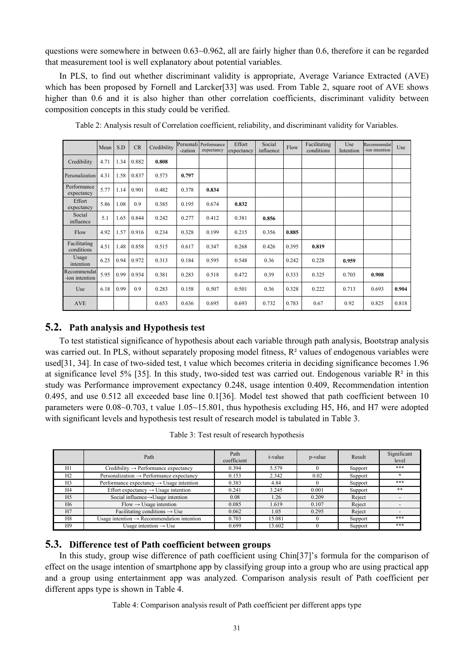questions were somewhere in between 0.63~0.962, all are fairly higher than 0.6, therefore it can be regarded that measurement tool is well explanatory about potential variables.

In PLS, to find out whether discriminant validity is appropriate, Average Variance Extracted (AVE) which has been proposed by Fornell and Larcker[33] was used. From Table 2, square root of AVE shows higher than 0.6 and it is also higher than other correlation coefficients, discriminant validity between composition concepts in this study could be verified.

|                               | Mean | S.D  | CR    | Credibility | Personali<br>-zation | Performance<br>expectancy | Effort<br>expectancy | Social<br>influence | Flow  | Facilitating<br>conditions | Use<br>Intention | Recommendat<br>ion intention | Use   |
|-------------------------------|------|------|-------|-------------|----------------------|---------------------------|----------------------|---------------------|-------|----------------------------|------------------|------------------------------|-------|
| Credibility                   | 4.71 | 1.34 | 0.882 | 0.808       |                      |                           |                      |                     |       |                            |                  |                              |       |
| Personalization               | 4.31 | 1.58 | 0.837 | 0.573       | 0.797                |                           |                      |                     |       |                            |                  |                              |       |
| Performance<br>expectancy     | 5.77 | 1.14 | 0.901 | 0.482       | 0.378                | 0.834                     |                      |                     |       |                            |                  |                              |       |
| Effort<br>expectancy          | 5.86 | 1.08 | 0.9   | 0.385       | 0.195                | 0.674                     | 0.832                |                     |       |                            |                  |                              |       |
| Social<br>influence           | 5.1  | 1.65 | 0.844 | 0.242       | 0.277                | 0.412                     | 0.381                | 0.856               |       |                            |                  |                              |       |
| Flow                          | 4.92 | 1.57 | 0.916 | 0.234       | 0.328                | 0.199                     | 0.215                | 0.356               | 0.885 |                            |                  |                              |       |
| Facilitating<br>conditions    | 4.51 | 1.48 | 0.858 | 0.515       | 0.617                | 0.347                     | 0.268                | 0.426               | 0.395 | 0.819                      |                  |                              |       |
| Usage<br>intention            | 6.25 | 0.94 | 0.972 | 0.313       | 0.184                | 0.595                     | 0.548                | 0.36                | 0.242 | 0.228                      | 0.959            |                              |       |
| Recommendat<br>-ion intention | 5.95 | 0.99 | 0.934 | 0.381       | 0.283                | 0.518                     | 0.472                | 0.39                | 0.333 | 0.325                      | 0.703            | 0.908                        |       |
| Use                           | 6.18 | 0.99 | 0.9   | 0.283       | 0.158                | 0.507                     | 0.501                | 0.36                | 0.328 | 0.222                      | 0.713            | 0.693                        | 0.904 |
| <b>AVE</b>                    |      |      |       | 0.653       | 0.636                | 0.695                     | 0.693                | 0.732               | 0.783 | 0.67                       | 0.92             | 0.825                        | 0.818 |

Table 2: Analysis result of Correlation coefficient, reliability, and discriminant validity for Variables.

### **5.2. Path analysis and Hypothesis test**

To test statistical significance of hypothesis about each variable through path analysis, Bootstrap analysis was carried out. In PLS, without separately proposing model fitness,  $R<sup>2</sup>$  values of endogenous variables were used[31, 34]. In case of two-sided test, t value which becomes criteria in deciding significance becomes 1.96 at significance level 5% [35]. In this study, two-sided test was carried out. Endogenous variable  $R<sup>2</sup>$  in this study was Performance improvement expectancy 0.248, usage intention 0.409, Recommendation intention 0.495, and use 0.512 all exceeded base line 0.1[36]. Model test showed that path coefficient between 10 parameters were 0.08~0.703, t value 1.05~15.801, thus hypothesis excluding H5, H6, and H7 were adopted with significant levels and hypothesis test result of research model is tabulated in Table 3.

| Table 3: Test result of research hypothesis |
|---------------------------------------------|
|---------------------------------------------|

|                | Path                                                   | Path<br>coefficient | t-value | p-value | Result  | Significant<br>level |
|----------------|--------------------------------------------------------|---------------------|---------|---------|---------|----------------------|
| H1             | $Credibility \rightarrow Performance$ expectancy       | 0.394               | 5.579   |         | Support | ***                  |
| H2             | Personalization $\rightarrow$ Performance expectancy   | 0.153               | 2.342   | 0.02    | Support |                      |
| H <sub>3</sub> | Performance expectancy $\rightarrow$ Usage intention   | 0.383               | 4.84    |         | Support | ***                  |
| H <sub>4</sub> | Effort expectancy $\rightarrow$ Usage intention        | 0.241               | 3.245   | 0.001   | Support | **                   |
| H <sub>5</sub> | Social influence→Usage intention                       | 0.08                | 1.26    | 0.209   | Reject  |                      |
| H <sub>6</sub> | $Flow \rightarrow Usage$ intention                     | 0.085               | 1.619   | 0.107   | Reject  |                      |
| H7             | Facilitating conditions $\rightarrow$ Use              | 0.062               | 1.05    | 0.295   | Reject  |                      |
| H8             | Usage intention $\rightarrow$ Recommendation intention | 0.703               | 15.081  |         | Support | ***                  |
| H <sub>9</sub> | Usage intention $\rightarrow$ Use                      | 0.699               | 13.602  |         | Support | ***                  |

## **5.3. Difference test of Path coefficient between groups**

In this study, group wise difference of path coefficient using Chin[37]'s formula for the comparison of effect on the usage intention of smartphone app by classifying group into a group who are using practical app and a group using entertainment app was analyzed. Comparison analysis result of Path coefficient per different apps type is shown in Table 4.

Table 4: Comparison analysis result of Path coefficient per different apps type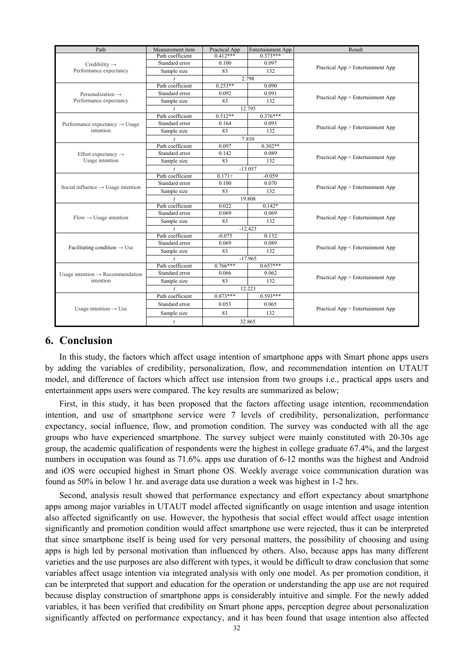| Path                                           | Measurement item         | Practical App | Entertainment App | Result                            |  |  |  |
|------------------------------------------------|--------------------------|---------------|-------------------|-----------------------------------|--|--|--|
|                                                | Path coefficient         | $0.412***$    | $0.373***$        |                                   |  |  |  |
| Credibility $\rightarrow$                      | Standard error           | 0.100         | 0.097             | Practical App > Entertainment App |  |  |  |
| Performance expectancy                         | Sample size<br>83<br>132 |               |                   |                                   |  |  |  |
|                                                |                          |               | 2.798             |                                   |  |  |  |
|                                                | Path coefficient         | $0.253**$     | 0.090             |                                   |  |  |  |
| Personalization $\rightarrow$                  | Standard error           | 0.092         | 0.091             | Practical App > Entertainment App |  |  |  |
| Performance expectancy                         | Sample size              | 83            | 132               |                                   |  |  |  |
|                                                |                          |               | 12.795            |                                   |  |  |  |
|                                                | Path coefficient         | $0.512**$     | $0.376***$        |                                   |  |  |  |
| Performance expectancy $\rightarrow$ Usage     | Standard error           | 0.164         | 0.093             | Practical App > Entertainment App |  |  |  |
| intention                                      | Sample size              | 83            | 132               |                                   |  |  |  |
|                                                |                          |               | 7.810             |                                   |  |  |  |
|                                                | Path coefficient         | 0.097         | $0.302**$         |                                   |  |  |  |
| Effort expectancy $\rightarrow$                | Standard error           | 0.142         | 0.089             | Practical App < Entertainment App |  |  |  |
| Usage intention                                | Sample size              | 83            | 132               |                                   |  |  |  |
|                                                |                          |               | $-13.057$         |                                   |  |  |  |
|                                                | Path coefficient         | $0.171+$      | $-0.059$          |                                   |  |  |  |
| Social influence $\rightarrow$ Usage intention | Standard error           | 0.100         | 0.070             | Practical App > Entertainment App |  |  |  |
|                                                | Sample size              | 83            | 132               |                                   |  |  |  |
|                                                |                          |               | 19.808            |                                   |  |  |  |
|                                                | Path coefficient         | 0.022         | $0.142*$          |                                   |  |  |  |
| $Flow \rightarrow Usage$ intention             | Standard error           | 0.069         | 0.069             | Practical App < Entertainment App |  |  |  |
|                                                | Sample size              | 83            | 132               |                                   |  |  |  |
|                                                | $\mathbf{f}$             | $-12.423$     |                   |                                   |  |  |  |
|                                                | Path coefficient         | $-0.075$      | 0.132             |                                   |  |  |  |
| Facilitating condition $\rightarrow$ Use       | Standard error           | 0.069         | 0.089             | Practical App < Entertainment App |  |  |  |
|                                                | Sample size              | 83            | 132               |                                   |  |  |  |
|                                                | $\mathbf{t}$             | $-17.965$     |                   |                                   |  |  |  |
|                                                | Path coefficient         | $0.766***$    | $0.657***$        |                                   |  |  |  |
| Usage intention $\rightarrow$ Recommendation   | Standard error           | 0.066         | 0.062             | Practical App > Entertainment App |  |  |  |
| intention                                      | Sample size              | 83            | 132               |                                   |  |  |  |
|                                                | $\mathbf{t}$             |               | 12.223            |                                   |  |  |  |
|                                                | Path coefficient         | $0.873***$    | $0.593***$        |                                   |  |  |  |
|                                                | Standard error           | 0.053         | 0.065             |                                   |  |  |  |
| Usage intention $\rightarrow$ Use              | Sample size              | 83            | 132               | Practical App > Entertainment App |  |  |  |
|                                                | $\boldsymbol{t}$         |               | 32.865            |                                   |  |  |  |

# **6. Conclusion**

In this study, the factors which affect usage intention of smartphone apps with Smart phone apps users by adding the variables of credibility, personalization, flow, and recommendation intention on UTAUT model, and difference of factors which affect use intension from two groups i.e., practical apps users and entertainment apps users were compared. The key results are summarized as below;

First, in this study, it has been proposed that the factors affecting usage intention, recommendation intention, and use of smartphone service were 7 levels of credibility, personalization, performance expectancy, social influence, flow, and promotion condition. The survey was conducted with all the age groups who have experienced smartphone. The survey subject were mainly constituted with 20-30s age group, the academic qualification of respondents were the highest in college graduate 67.4%, and the largest numbers in occupation was found as 71.6%. apps use duration of 6-12 months was the highest and Android and iOS were occupied highest in Smart phone OS. Weekly average voice communication duration was found as 50% in below 1 hr. and average data use duration a week was highest in 1-2 hrs.

Second, analysis result showed that performance expectancy and effort expectancy about smartphone apps among major variables in UTAUT model affected significantly on usage intention and usage intention also affected significantly on use. However, the hypothesis that social effect would affect usage intention significantly and promotion condition would affect smartphone use were rejected, thus it can be interpreted that since smartphone itself is being used for very personal matters, the possibility of choosing and using apps is high led by personal motivation than influenced by others. Also, because apps has many different varieties and the use purposes are also different with types, it would be difficult to draw conclusion that some variables affect usage intention via integrated analysis with only one model. As per promotion condition, it can be interpreted that support and education for the operation or understanding the app use are not required because display construction of smartphone apps is considerably intuitive and simple. For the newly added variables, it has been verified that credibility on Smart phone apps, perception degree about personalization significantly affected on performance expectancy, and it has been found that usage intention also affected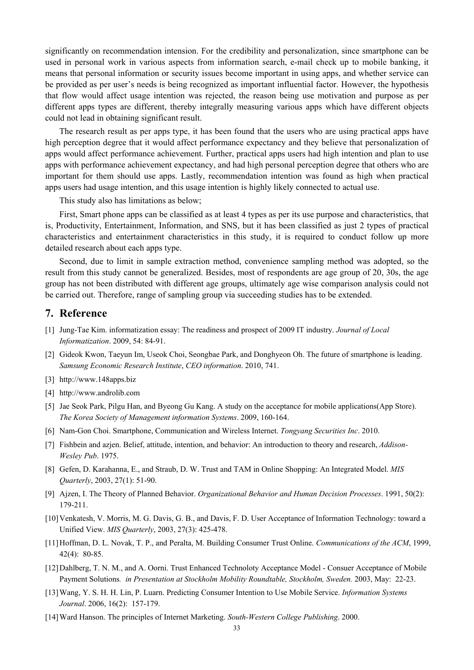significantly on recommendation intension. For the credibility and personalization, since smartphone can be used in personal work in various aspects from information search, e-mail check up to mobile banking, it means that personal information or security issues become important in using apps, and whether service can be provided as per user's needs is being recognized as important influential factor. However, the hypothesis that flow would affect usage intention was rejected, the reason being use motivation and purpose as per different apps types are different, thereby integrally measuring various apps which have different objects could not lead in obtaining significant result.

The research result as per apps type, it has been found that the users who are using practical apps have high perception degree that it would affect performance expectancy and they believe that personalization of apps would affect performance achievement. Further, practical apps users had high intention and plan to use apps with performance achievement expectancy, and had high personal perception degree that others who are important for them should use apps. Lastly, recommendation intention was found as high when practical apps users had usage intention, and this usage intention is highly likely connected to actual use.

This study also has limitations as below;

First, Smart phone apps can be classified as at least 4 types as per its use purpose and characteristics, that is, Productivity, Entertainment, Information, and SNS, but it has been classified as just 2 types of practical characteristics and entertainment characteristics in this study, it is required to conduct follow up more detailed research about each apps type.

Second, due to limit in sample extraction method, convenience sampling method was adopted, so the result from this study cannot be generalized. Besides, most of respondents are age group of 20, 30s, the age group has not been distributed with different age groups, ultimately age wise comparison analysis could not be carried out. Therefore, range of sampling group via succeeding studies has to be extended.

### **7. Reference**

- [1] Jung-Tae Kim. informatization essay: The readiness and prospect of 2009 IT industry. *Journal of Local Informatization*. 2009, 54: 84-91.
- [2] Gideok Kwon, Taeyun Im, Useok Choi, Seongbae Park, and Donghyeon Oh. The future of smartphone is leading. *Samsung Economic Research Institute*, *CEO information*. 2010, 741.
- [3] http://www.148apps.biz
- [4] http://www.androlib.com
- [5] Jae Seok Park, Pilgu Han, and Byeong Gu Kang. A study on the acceptance for mobile applications(App Store). *The Korea Society of Management information Systems*. 2009, 160-164.
- [6] Nam-Gon Choi. Smartphone, Communication and Wireless Internet. *Tongyang Securities Inc*. 2010.
- [7] Fishbein and azjen. Belief, attitude, intention, and behavior: An introduction to theory and research, *Addison-Wesley Pub*. 1975.
- [8] Gefen, D. Karahanna, E., and Straub, D. W. Trust and TAM in Online Shopping: An Integrated Model. *MIS Quarterly*, 2003, 27(1): 51-90.
- [9] Ajzen, I. The Theory of Planned Behavior. *Organizational Behavior and Human Decision Processes*. 1991, 50(2): 179-211.
- [10]Venkatesh, V. Morris, M. G. Davis, G. B., and Davis, F. D. User Acceptance of Information Technology: toward a Unified View. *MIS Quarterly*, 2003, 27(3): 425-478.
- [11]Hoffman, D. L. Novak, T. P., and Peralta, M. Building Consumer Trust Online. *Communications of the ACM*, 1999, 42(4): 80-85.
- [12]Dahlberg, T. N. M., and A. Oorni. Trust Enhanced Technoloty Acceptance Model Consuer Acceptance of Mobile Payment Solutions*. in Presentation at Stockholm Mobility Roundtable, Stockholm, Sweden.* 2003, May: 22-23.
- [13]Wang, Y. S. H. H. Lin, P. Luarn. Predicting Consumer Intention to Use Mobile Service. *Information Systems Journal*. 2006, 16(2): 157-179.
- [14]Ward Hanson. The principles of Internet Marketing. *South-Western College Publishing*. 2000.